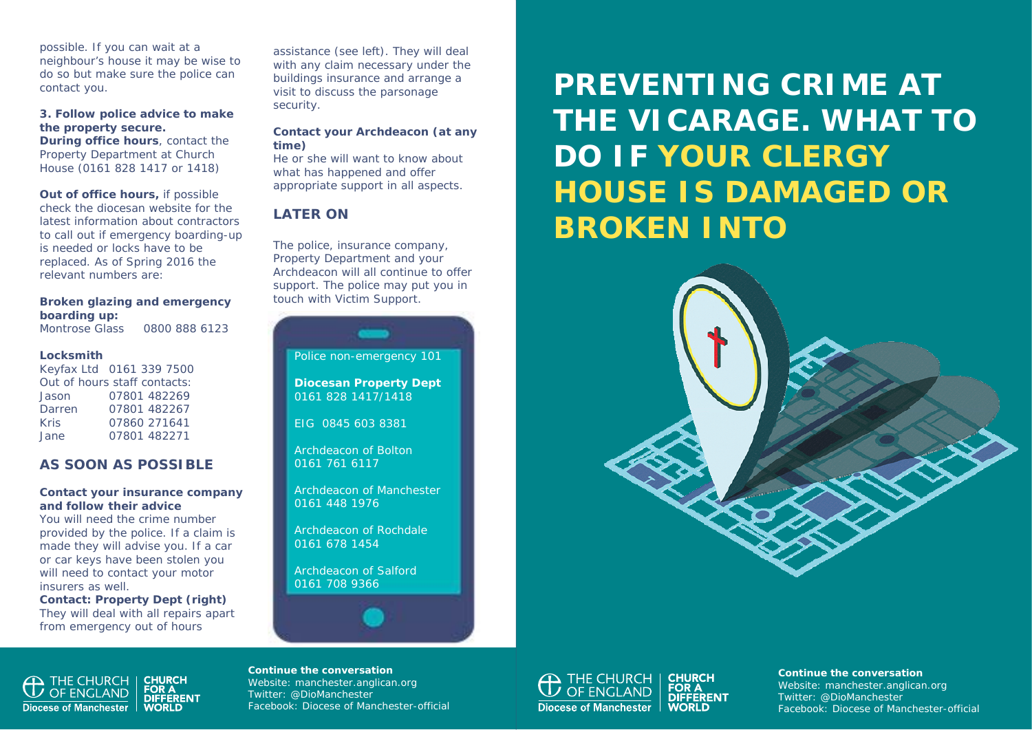possible. If you can wait at a neighbour's house it may be wise to do so but make sure the police can contact you.

#### **3. Follow police advice to make the property secure.**

**During office hours**, contact the Property Department at Church House (0161 828 1417 or 1418)

**Out of office hours, if possible** check the diocesan website for the latest information about contractors to call out if emergency boarding-up is needed or locks have to be replaced. As of Spring 2016 the relevant numbers are:

#### **Broken glazing and emergency boarding up:**

Montrose Glass 0800 888 6123

#### **Locksmith**

Keyfax Ltd 0161 339 7500 Out of hours staff contacts: Jason 07801 482269 Darren 07801 482267 Kris 07860 271641 Jane 07801 482271

## **AS SOON AS POSSIBLE**

#### **Contact your insurance company and follow their advice**

You will need the crime number provided by the police. If a claim is made they will advise you. If a car or car keys have been stolen you will need to contact your motor insurers as well.

**Contact: Property Dept (right)**  They will deal with all repairs apart from emergency out of hours

assistance (see left). They will deal with any claim necessary under the buildings insurance and arrange a visit to discuss the parsonage security.

#### **Contact your Archdeacon (at any time)**

He or she will want to know about what has happened and offer appropriate support in all aspects.

# **LATER ON**

The police, insurance company, Property Department and your Archdeacon will all continue to offer support. The police may put you in touch with Victim Support.

Police non-emergency 101

**Diocesan Property Dept**  0161 828 1417/1418

EIG 0845 603 8381

Archdeacon of Bolton 0161 761 6117

Archdeacon of Manchester 0161 448 1976

Archdeacon of Rochdale 0161 678 1454

Archdeacon of Salford 0161 708 9366



**PREVENTING CRIME AT THE VICARAGE. WHAT TO DO IF YOUR CLERGY HOUSE IS DAMAGED OR BROKEN INTO** 





#### **Continue the conversation**

Website: manchester.anglican.org Twitter: @DioManchester Facebook: Diocese of Manchester-official



**Continue the conversation**  Website: manchester.anglican.org Twitter: @DioManchester Facebook: Diocese of Manchester-official